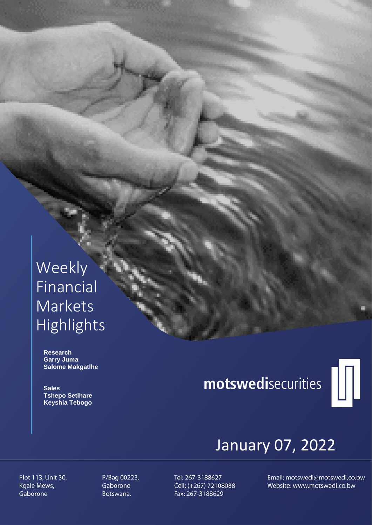# Weekly Financial **Markets** Highlights

 **Research Garry Juma Salome Makgatlhe**

 **Sales Tshepo Setlhare Keyshia Tebogo**

# motswedisecurities



# January 07, 2022

Plot 113, Unit 30, Kgale Mews, Gaborone

P/Bag 00223, Gaborone Botswana.

Tel: 267-3188627 Cell: (+267) 72108088 Fax: 267-3188629

Email: motswedi@motswedi.co.bw Website: www.motswedi.co.bw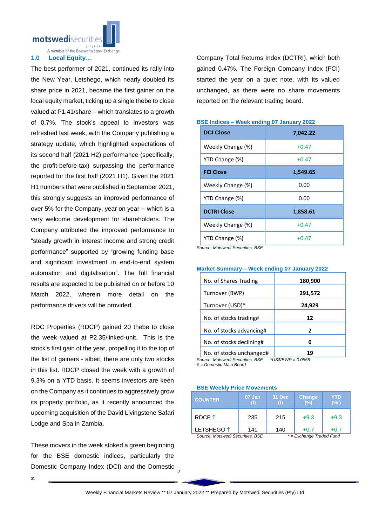motswedisecurit

A member of the Botswana Stock Exchange

## **1.0 Local Equity…**

The best performer of 2021, continued its rally into the New Year. Letshego, which nearly doubled its share price in 2021, became the first gainer on the local equity market, ticking up a single thebe to close valued at P1.41/share – which translates to a growth of 0.7%. The stock's appeal to investors was refreshed last week, with the Company publishing a strategy update, which highlighted expectations of its second half (2021 H2) performance (specifically, the profit-before-tax) surpassing the performance reported for the first half (2021 H1). Given the 2021 H1 numbers that were published in September 2021, this strongly suggests an improved performance of over 5% for the Company, year on year -- which is a very welcome development for shareholders. The Company attributed the improved performance to "steady growth in interest income and strong credit performance" supported by "growing funding base and significant investment in end-to-end system automation and digitalisation". The full financial results are expected to be published on or before 10 March 2022, wherein more detail on the performance drivers will be provided.

RDC Properties (RDCP) gained 20 thebe to close the week valued at P2.35/linked-unit. This is the stock's first gain of the year, propelling it to the top of the list of gainers - albeit, there are only two stocks in this list. RDCP closed the week with a growth of 9.3% on a YTD basis. It seems investors are keen on the Company as it continues to aggressively grow its property portfolio, as it recently announced the upcoming acquisition of the David Livingstone Safari Lodge and Spa in Zambia.

These movers in the week stoked a green beginning for the BSE domestic indices, particularly the Domestic Company Index (DCI) and the Domestic Company Total Returns Index (DCTRI), which both gained 0.47%. The Foreign Company Index (FCI) started the year on a quiet note, with its valued unchanged, as there were no share movements reported on the relevant trading board.

| <b>DCI Close</b>                     | 7,042.22 |
|--------------------------------------|----------|
| Weekly Change (%)                    | $+0.47$  |
| YTD Change (%)                       | $+0.47$  |
| <b>FCI Close</b>                     | 1,549.65 |
| Weekly Change (%)                    | 0.00     |
| YTD Change (%)                       | 0.00     |
| <b>DCTRI Close</b>                   | 1,858.61 |
| Weekly Change (%)                    | $+0.47$  |
| YTD Change (%)<br>$\cdots$<br>$\sim$ | $+0.47$  |

## **BSE Indices – Week ending 07 January 2022**

*Source: Motswedi Securities, BSE*

# **Market Summary – Week ending 07 January 2022**

| No. of Shares Trading                                        | 180,900 |
|--------------------------------------------------------------|---------|
| Turnover (BWP)                                               | 291,572 |
| Turnover (USD)*                                              | 24,929  |
| No. of stocks trading#                                       | 12      |
| No. of stocks advancing#                                     | 2       |
| No. of stocks declining#                                     | 0       |
| No. of stocks unchanged#<br>$\cdots$<br>$\sim$ $\sim$ $\sim$ | 19<br>  |

*Source: Motswedi Securities, BSE \*US\$/BWP = 0.0855 # = Domestic Main Board*

#### **BSE Weekly Price Movements**

| <b>COUNTER</b>                                               | 07 Jan<br>(t) | 31 Dec | <b>Change</b><br>(%) | YTD<br>$(\% )$ |
|--------------------------------------------------------------|---------------|--------|----------------------|----------------|
| RDCP $\uparrow$                                              | 235           | 215    | $+9.3$               | $+9.3$         |
| LETSHEGO <sup>1</sup>                                        | 141           | 140    | $+0.7$               | $+0.7$         |
| Source: Motswedi Securities, BSE<br>* = Exchange Traded Fund |               |        |                      |                |

2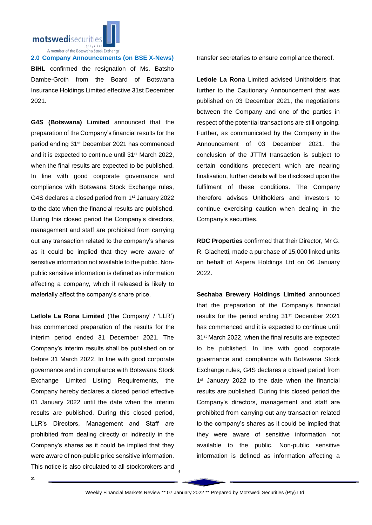

**2.0 Company Announcements (on BSE X-News) BIHL** confirmed the resignation of Ms. Batsho Dambe-Groth from the Board of Botswana Insurance Holdings Limited effective 31st December 2021.

**G4S (Botswana) Limited** announced that the preparation of the Company's financial results for the period ending 31st December 2021 has commenced and it is expected to continue until 31st March 2022, when the final results are expected to be published. In line with good corporate governance and compliance with Botswana Stock Exchange rules, G4S declares a closed period from 1st January 2022 to the date when the financial results are published. During this closed period the Company's directors, management and staff are prohibited from carrying out any transaction related to the company's shares as it could be implied that they were aware of sensitive information not available to the public. Nonpublic sensitive information is defined as information affecting a company, which if released is likely to materially affect the company's share price.

**Letlole La Rona Limited** ('the Company' / 'LLR') has commenced preparation of the results for the interim period ended 31 December 2021. The Company's interim results shall be published on or before 31 March 2022. In line with good corporate governance and in compliance with Botswana Stock Exchange Limited Listing Requirements, the Company hereby declares a closed period effective 01 January 2022 until the date when the interim results are published. During this closed period, LLR's Directors, Management and Staff are prohibited from dealing directly or indirectly in the Company's shares as it could be implied that they were aware of non-public price sensitive information. This notice is also circulated to all stockbrokers and transfer secretaries to ensure compliance thereof.

**Letlole La Rona** Limited advised Unitholders that further to the Cautionary Announcement that was published on 03 December 2021, the negotiations between the Company and one of the parties in respect of the potential transactions are still ongoing. Further, as communicated by the Company in the Announcement of 03 December 2021, the conclusion of the JTTM transaction is subject to certain conditions precedent which are nearing finalisation, further details will be disclosed upon the fulfilment of these conditions. The Company therefore advises Unitholders and investors to continue exercising caution when dealing in the Company's securities.

**RDC Properties** confirmed that their Director, Mr G. R. Giachetti, made a purchase of 15,000 linked units on behalf of Aspera Holdings Ltd on 06 January 2022.

**Sechaba Brewery Holdings Limited** announced that the preparation of the Company's financial results for the period ending 31st December 2021 has commenced and it is expected to continue until 31st March 2022, when the final results are expected to be published. In line with good corporate governance and compliance with Botswana Stock Exchange rules, G4S declares a closed period from 1<sup>st</sup> January 2022 to the date when the financial results are published. During this closed period the Company's directors, management and staff are prohibited from carrying out any transaction related to the company's shares as it could be implied that they were aware of sensitive information not available to the public. Non-public sensitive information is defined as information affecting a

3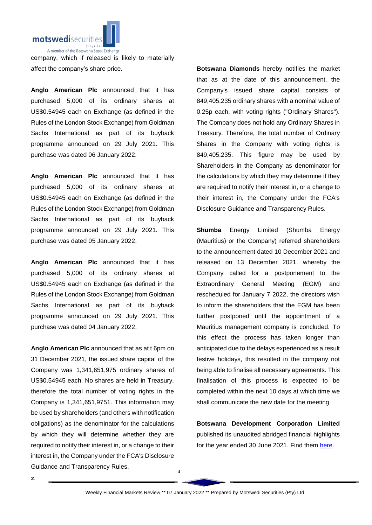

company, which if released is likely to materially affect the company's share price.

**Anglo American Plc** announced that it has purchased 5,000 of its ordinary shares at US\$0.54945 each on Exchange (as defined in the Rules of the London Stock Exchange) from Goldman Sachs International as part of its buyback programme announced on 29 July 2021. This purchase was dated 06 January 2022.

**Anglo American Plc** announced that it has purchased 5,000 of its ordinary shares at US\$0.54945 each on Exchange (as defined in the Rules of the London Stock Exchange) from Goldman Sachs International as part of its buyback programme announced on 29 July 2021. This purchase was dated 05 January 2022.

**Anglo American Plc** announced that it has purchased 5,000 of its ordinary shares at US\$0.54945 each on Exchange (as defined in the Rules of the London Stock Exchange) from Goldman Sachs International as part of its buyback programme announced on 29 July 2021. This purchase was dated 04 January 2022.

**Anglo American Plc** announced that as at t 6pm on 31 December 2021, the issued share capital of the Company was 1,341,651,975 ordinary shares of US\$0.54945 each. No shares are held in Treasury, therefore the total number of voting rights in the Company is 1,341,651,9751. This information may be used by shareholders (and others with notification obligations) as the denominator for the calculations by which they will determine whether they are required to notify their interest in, or a change to their interest in, the Company under the FCA's Disclosure Guidance and Transparency Rules.

**Botswana Diamonds** hereby notifies the market that as at the date of this announcement, the Company's issued share capital consists of 849,405,235 ordinary shares with a nominal value of 0.25p each, with voting rights ("Ordinary Shares"). The Company does not hold any Ordinary Shares in Treasury. Therefore, the total number of Ordinary Shares in the Company with voting rights is 849,405,235. This figure may be used by Shareholders in the Company as denominator for the calculations by which they may determine if they are required to notify their interest in, or a change to their interest in, the Company under the FCA's Disclosure Guidance and Transparency Rules.

**Shumba** Energy Limited (Shumba Energy (Mauritius) or the Company) referred shareholders to the announcement dated 10 December 2021 and released on 13 December 2021, whereby the Company called for a postponement to the Extraordinary General Meeting (EGM) and rescheduled for January 7 2022, the directors wish to inform the shareholders that the EGM has been further postponed until the appointment of a Mauritius management company is concluded. To this effect the process has taken longer than anticipated due to the delays experienced as a result festive holidays, this resulted in the company not being able to finalise all necessary agreements. This finalisation of this process is expected to be completed within the next 10 days at which time we shall communicate the new date for the meeting.

**Botswana Development Corporation Limited** published its unaudited abridged financial highlights for the year ended 30 June 2021. Find them [here.](https://apis.bse.co.bw/storage/disclosures/01/2022/2662.pdf)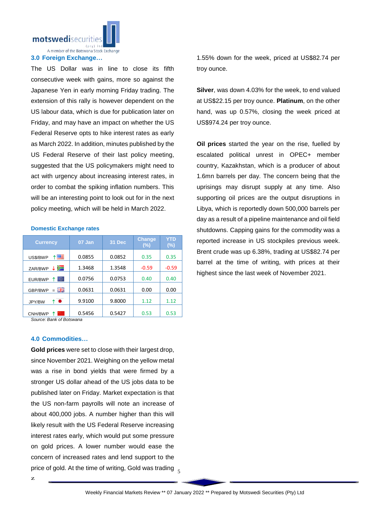

# **3.0 Foreign Exchange…**

The US Dollar was in line to close its fifth consecutive week with gains, more so against the Japanese Yen in early morning Friday trading. The extension of this rally is however dependent on the US labour data, which is due for publication later on Friday, and may have an impact on whether the US Federal Reserve opts to hike interest rates as early as March 2022. In addition, minutes published by the US Federal Reserve of their last policy meeting, suggested that the US policymakers might need to act with urgency about increasing interest rates, in order to combat the spiking inflation numbers. This will be an interesting point to look out for in the next policy meeting, which will be held in March 2022.

### **Domestic Exchange rates**

| <b>Currency</b>          | 07 Jan | 31 Dec | <b>Change</b><br>$(\%)$ | YTD<br>$(\%)$ |
|--------------------------|--------|--------|-------------------------|---------------|
| ↑■<br>US\$/BWP           | 0.0855 | 0.0852 | 0.35                    | 0.35          |
| ⋝⊒<br>ZAR/BWP            | 1.3468 | 1.3548 | $-0.59$                 | $-0.59$       |
| Ю<br>EUR/BWP<br>↑        | 0.0756 | 0.0753 | 0.40                    | 0.40          |
| 즭푽<br>GBP/BWP<br>$=$     | 0.0631 | 0.0631 | 0.00                    | 0.00          |
| $\bullet$<br>↑<br>JPY/BW | 9.9100 | 9.8000 | 1.12                    | 1.12          |
| CNH/BWP                  | 0.5456 | 0.5427 | 0.53                    | 0.53          |

*Source: Bank of Botswana*

# **4.0 Commodities…**

price of gold. At the time of writing, Gold was trading  $\frac{}{5}$ **Gold prices** were set to close with their largest drop, since November 2021. Weighing on the yellow metal was a rise in bond yields that were firmed by a stronger US dollar ahead of the US jobs data to be published later on Friday. Market expectation is that the US non-farm payrolls will note an increase of about 400,000 jobs. A number higher than this will likely result with the US Federal Reserve increasing interest rates early, which would put some pressure on gold prices. A lower number would ease the concern of increased rates and lend support to the

1.55% down for the week, priced at US\$82.74 per troy ounce.

**Silver**, was down 4.03% for the week, to end valued at US\$22.15 per troy ounce. **Platinum**, on the other hand, was up 0.57%, closing the week priced at US\$974.24 per troy ounce.

**Oil prices** started the year on the rise, fuelled by escalated political unrest in OPEC+ member country, Kazakhstan, which is a producer of about 1.6mn barrels per day. The concern being that the uprisings may disrupt supply at any time. Also supporting oil prices are the output disruptions in Libya, which is reportedly down 500,000 barrels per day as a result of a pipeline maintenance and oil field shutdowns. Capping gains for the commodity was a reported increase in US stockpiles previous week. Brent crude was up 6.38%, trading at US\$82.74 per barrel at the time of writing, with prices at their highest since the last week of November 2021.